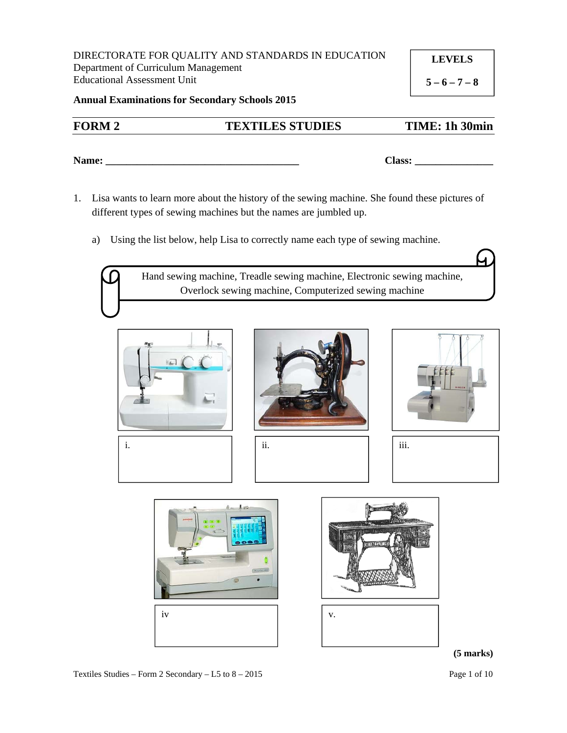DIRECTORATE FOR QUALITY AND STANDARDS IN EDUCATION Department of Curriculum Management Educational Assessment Unit

**LEVELS** 

 $5 - 6 - 7 - 8$ 

**Annual Examinations for Secondary Schools 2015**

# **FORM 2 TEXTILES STUDIES TIME: 1h 30min**

**Name: \_\_\_\_\_\_\_\_\_\_\_\_\_\_\_\_\_\_\_\_\_\_\_\_\_\_\_\_\_\_\_\_\_\_\_\_\_ Class: \_\_\_\_\_\_\_\_\_\_\_\_\_\_\_** 

- 1. Lisa wants to learn more about the history of the sewing machine. She found these pictures of different types of sewing machines but the names are jumbled up.
	- a) Using the list below, help Lisa to correctly name each type of sewing machine.

Hand sewing machine, Treadle sewing machine, Electronic sewing machine, Overlock sewing machine, Computerized sewing machine













#### **(5 marks)**

Textiles Studies – Form 2 Secondary – L5 to  $8 - 2015$  Page 1 of 10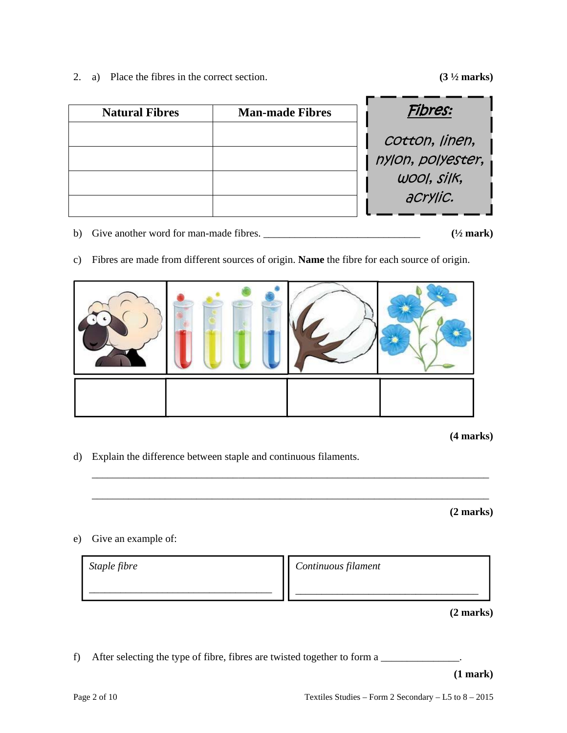2. a) Place the fibres in the correct section. **(3 ½ marks)**

| <b>Natural Fibres</b> | <b>Man-made Fibres</b> | Fibres:                                            |
|-----------------------|------------------------|----------------------------------------------------|
|                       |                        | cotton, linen,<br>nylon, polyester,<br>WOOI, Silk, |
|                       |                        | aCrylic.                                           |

- b) Give another word for man-made fibres. \_\_\_\_\_\_\_\_\_\_\_\_\_\_\_\_\_\_\_\_\_\_\_\_\_\_\_\_\_\_ **(½ mark)**
- c) Fibres are made from different sources of origin. **Name** the fibre for each source of origin.



**(4 marks)** 

d) Explain the difference between staple and continuous filaments.

 **(2 marks)** 

e) Give an example of:

| Staple fibre | Continuous filament |
|--------------|---------------------|
|              |                     |
|              |                     |

\_\_\_\_\_\_\_\_\_\_\_\_\_\_\_\_\_\_\_\_\_\_\_\_\_\_\_\_\_\_\_\_\_\_\_\_\_\_\_\_\_\_\_\_\_\_\_\_\_\_\_\_\_\_\_\_\_\_\_\_\_\_\_\_\_\_\_\_\_\_\_\_\_\_\_\_

\_\_\_\_\_\_\_\_\_\_\_\_\_\_\_\_\_\_\_\_\_\_\_\_\_\_\_\_\_\_\_\_\_\_\_\_\_\_\_\_\_\_\_\_\_\_\_\_\_\_\_\_\_\_\_\_\_\_\_\_\_\_\_\_\_\_\_\_\_\_\_\_\_\_\_\_

**(2 marks)** 

f) After selecting the type of fibre, fibres are twisted together to form a

**(1 mark)**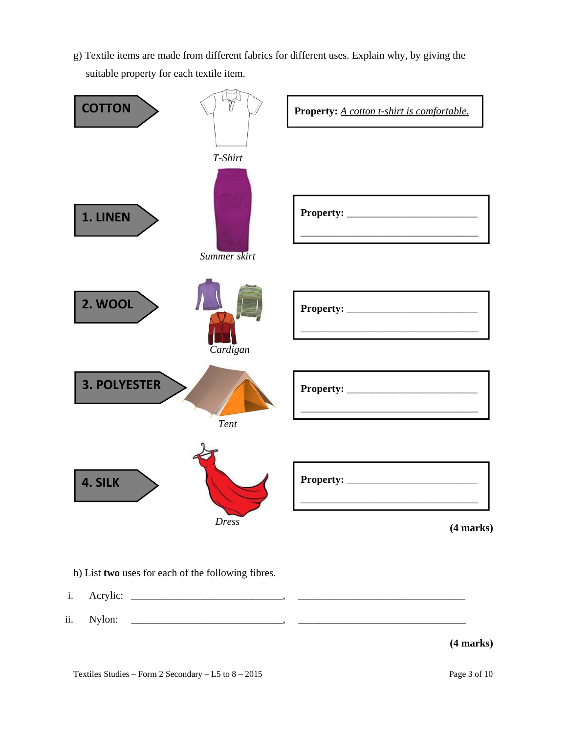g) Textile items are made from different fabrics for different uses. Explain why, by giving the suitable property for each textile item.



h) List **two** uses for each of the following fibres.

- i. Acrylic: \_\_\_\_\_\_\_\_\_\_\_\_\_\_\_\_\_\_\_\_\_\_\_\_\_\_\_\_\_, \_\_\_\_\_\_\_\_\_\_\_\_\_\_\_\_\_\_\_\_\_\_\_\_\_\_\_\_\_\_\_\_
- ii. Nylon: \_\_\_\_\_\_\_\_\_\_\_\_\_\_\_\_\_\_\_\_\_\_\_\_\_\_\_\_\_, \_\_\_\_\_\_\_\_\_\_\_\_\_\_\_\_\_\_\_\_\_\_\_\_\_\_\_\_\_\_\_\_

### **(4 marks)**

Textiles Studies – Form 2 Secondary – L5 to  $8 - 2015$  Page 3 of 10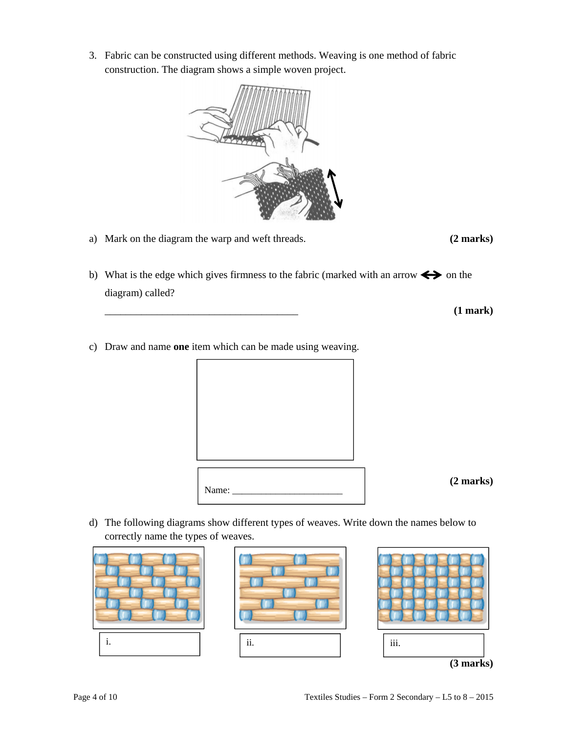Page 4 of 10 Textiles Studies – Form 2 Secondary – L5 to 8 – 2015

3. Fabric can be constructed using different methods. Weaving is one method of fabric construction. The diagram shows a simple woven project.

- a) Mark on the diagram the warp and weft threads. **(2 marks)**
- b) What is the edge which gives firmness to the fabric (marked with an arrow  $\Longleftrightarrow$  on the diagram) called?
- c) Draw and name **one** item which can be made using weaving.

Name:

d) The following diagrams show different types of weaves. Write down the names below to correctly name the types of weaves.

i. ii. iii.





\_\_\_\_\_\_\_\_\_\_\_\_\_\_\_\_\_\_\_\_\_\_\_\_\_\_\_\_\_\_\_\_\_\_\_\_\_ **(1 mark)** 

**(2 marks)**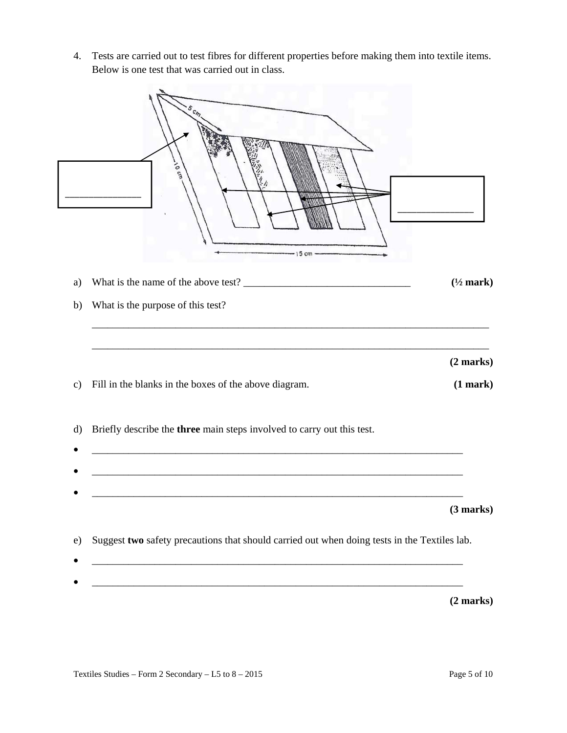4. Tests are carried out to test fibres for different properties before making them into textile items. Below is one test that was carried out in class.

|               | <b>VOCITY</b><br>$-15$ cm                                                                                                                                                                                             |                      |
|---------------|-----------------------------------------------------------------------------------------------------------------------------------------------------------------------------------------------------------------------|----------------------|
| a)            |                                                                                                                                                                                                                       | $(\frac{1}{2}$ mark) |
| b)            | What is the purpose of this test?                                                                                                                                                                                     |                      |
|               |                                                                                                                                                                                                                       | (2 marks)            |
| $\mathbf{c})$ | Fill in the blanks in the boxes of the above diagram.                                                                                                                                                                 | (1 mark)             |
| $\rm d$       | Briefly describe the three main steps involved to carry out this test.                                                                                                                                                |                      |
|               | <u> 1989 - Johann Barn, mars ann an t-Amhain ann an t-Amhain ann an t-Amhain ann an t-Amhain ann an t-Amhain an t-</u>                                                                                                |                      |
| e)            | Suggest two safety precautions that should carried out when doing tests in the Textiles lab.<br><u> 1989 - Johann Harry Harry Harry Harry Harry Harry Harry Harry Harry Harry Harry Harry Harry Harry Harry Harry</u> | (3 marks)            |
|               | <u> 1989 - Johann Harry Harry Harry Harry Harry Harry Harry Harry Harry Harry Harry Harry Harry Harry Harry Harry</u>                                                                                                 | (2 marks)            |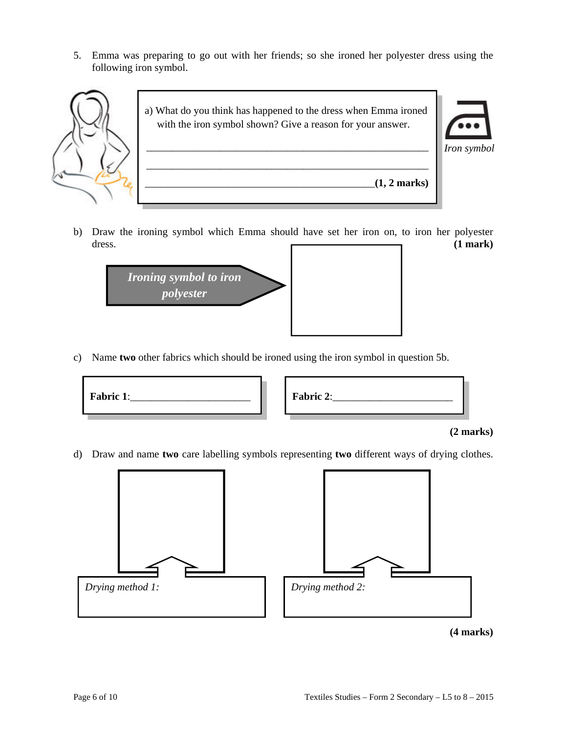5. Emma was preparing to go out with her friends; so she ironed her polyester dress using the following iron symbol.



b) Draw the ironing symbol which Emma should have set her iron on, to iron her polyester dress. (1 mark)



c) Name **two** other fabrics which should be ironed using the iron symbol in question 5b.

| Fabric 1: | Fabric 2: |  |
|-----------|-----------|--|
|           |           |  |

#### **(2 marks)**

d) Draw and name **two** care labelling symbols representing **two** different ways of drying clothes.

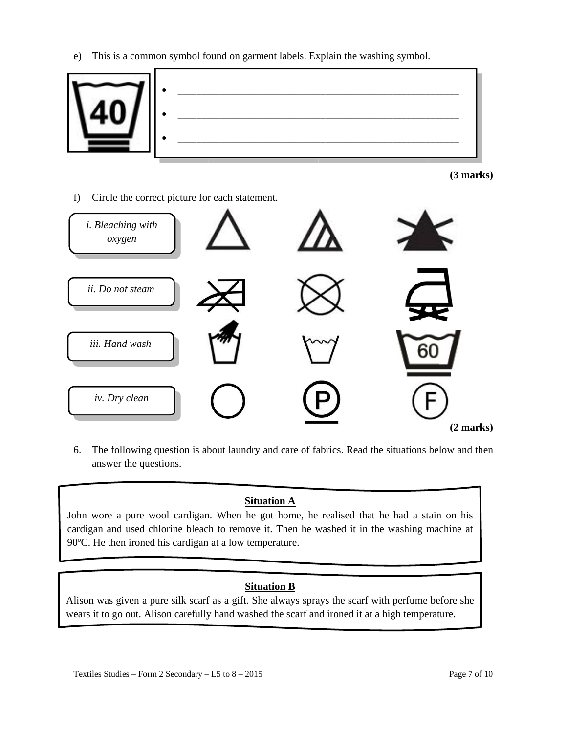e) This is a common symbol found on garment labels. Explain the washing symbol.



**(3 marks)** 

f) Circle the correct picture for each statement.



6. The following question is about laundry and care of fabrics. Read the situations below and then answer the questions.

## **Situation A**

John wore a pure wool cardigan. When he got home, he realised that he had a stain on his cardigan and used chlorine bleach to remove it. Then he washed it in the washing machine at 90ºC. He then ironed his cardigan at a low temperature.

### **Situation B**

Alison was given a pure silk scarf as a gift. She always sprays the scarf with perfume before she wears it to go out. Alison carefully hand washed the scarf and ironed it at a high temperature.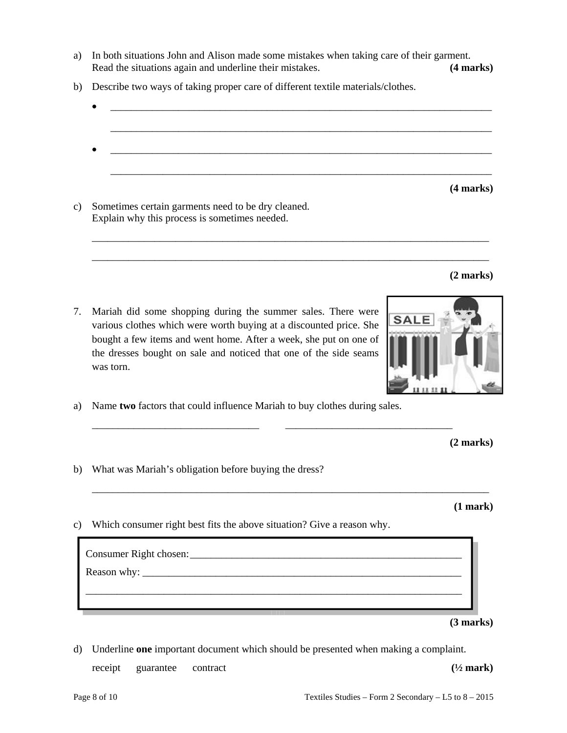Page 8 of 10 Textiles Studies – Form 2 Secondary – L5 to 8 – 2015

a) In both situations John and Alison made some mistakes when taking care of their garment. Read the situations again and underline their mistakes. **(4 marks) (4 marks)** 

 $\bullet$   $\hspace{0.2cm}$   $\hspace{0.2cm}$   $\hspace{0.2cm}$   $\hspace{0.2cm}$   $\hspace{0.2cm}$   $\hspace{0.2cm}$   $\hspace{0.2cm}$   $\hspace{0.2cm}$   $\hspace{0.2cm}$   $\hspace{0.2cm}$   $\hspace{0.2cm}$   $\hspace{0.2cm}$   $\hspace{0.2cm}$   $\hspace{0.2cm}$   $\hspace{0.2cm}$   $\hspace{0.2cm}$   $\hspace{0.2cm}$   $\hspace{0.2cm}$ 

 $\frac{1}{\sqrt{2}}$  ,  $\frac{1}{\sqrt{2}}$  ,  $\frac{1}{\sqrt{2}}$  ,  $\frac{1}{\sqrt{2}}$  ,  $\frac{1}{\sqrt{2}}$  ,  $\frac{1}{\sqrt{2}}$  ,  $\frac{1}{\sqrt{2}}$  ,  $\frac{1}{\sqrt{2}}$  ,  $\frac{1}{\sqrt{2}}$  ,  $\frac{1}{\sqrt{2}}$  ,  $\frac{1}{\sqrt{2}}$  ,  $\frac{1}{\sqrt{2}}$  ,  $\frac{1}{\sqrt{2}}$  ,  $\frac{1}{\sqrt{2}}$  ,  $\frac{1}{\sqrt{2}}$ 

\_\_\_\_\_\_\_\_\_\_\_\_\_\_\_\_\_\_\_\_\_\_\_\_\_\_\_\_\_\_\_\_\_\_\_\_\_\_\_\_\_\_\_\_\_\_\_\_\_\_\_\_\_\_\_\_\_\_\_\_\_\_\_\_\_\_\_\_\_\_\_\_\_\_\_\_

\_\_\_\_\_\_\_\_\_\_\_\_\_\_\_\_\_\_\_\_\_\_\_\_\_\_\_\_\_\_\_\_\_\_\_\_\_\_\_\_\_\_\_\_\_\_\_\_\_\_\_\_\_\_\_\_\_\_\_\_\_\_\_\_\_\_\_\_\_\_\_\_\_\_\_\_

- b) Describe two ways of taking proper care of different textile materials/clothes.
- \_\_\_\_\_\_\_\_\_\_\_\_\_\_\_\_\_\_\_\_\_\_\_\_\_\_\_\_\_\_\_\_\_\_\_\_\_\_\_\_\_\_\_\_\_\_\_\_\_\_\_\_\_\_\_\_\_\_\_\_\_\_\_\_\_\_\_\_\_\_\_\_\_
- c) Sometimes certain garments need to be dry cleaned. Explain why this process is sometimes needed.

- 7. Mariah did some shopping during the summer sales. There were various clothes which were worth buying at a discounted price. She bought a few items and went home. After a week, she put on one of the dresses bought on sale and noticed that one of the side seams was torn.
- a) Name **two** factors that could influence Mariah to buy clothes during sales.

**(2 marks)**

b) What was Mariah's obligation before buying the dress?

**(1 mark)** 

c) Which consumer right best fits the above situation? Give a reason why.

| (3 marks) |
|-----------|

receipt guarantee contract **(<sup>1</sup>/2 mark)** 

\_\_\_\_\_\_\_\_\_\_\_\_\_\_\_\_\_\_\_\_\_\_\_\_\_\_\_\_\_\_\_\_ \_\_\_\_\_\_\_\_\_\_\_\_\_\_\_\_\_\_\_\_\_\_\_\_\_\_\_\_\_\_\_\_

\_\_\_\_\_\_\_\_\_\_\_\_\_\_\_\_\_\_\_\_\_\_\_\_\_\_\_\_\_\_\_\_\_\_\_\_\_\_\_\_\_\_\_\_\_\_\_\_\_\_\_\_\_\_\_\_\_\_\_\_\_\_\_\_\_\_\_\_\_\_\_\_\_\_\_\_

 **(4 marks)**

**(2 marks)** 

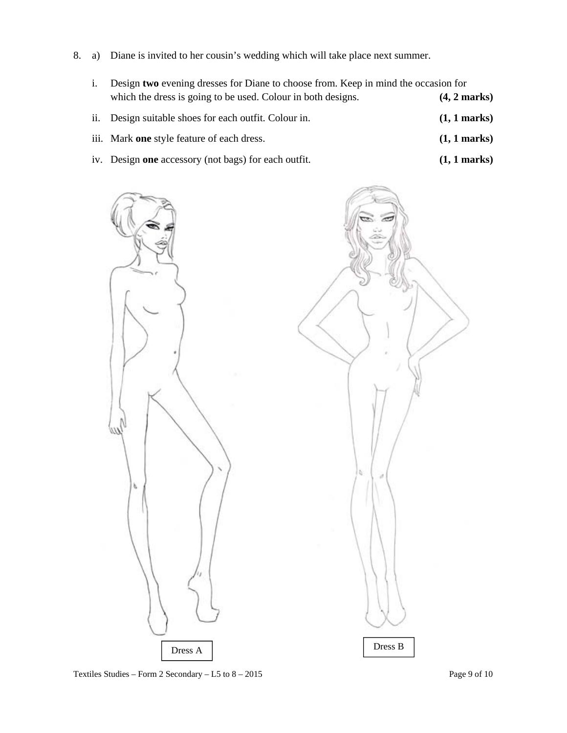8. a) Diane is invited to her cousin's wedding which will take place next summer.

| Design two evening dresses for Diane to choose from. Keep in mind the occasion for |                        |  |
|------------------------------------------------------------------------------------|------------------------|--|
| which the dress is going to be used. Colour in both designs.                       | $(4, 2 \text{ marks})$ |  |
| ii. Design suitable shoes for each outfit. Colour in.                              | $(1, 1$ marks)         |  |
| iii. Mark one style feature of each dress.                                         | $(1, 1$ marks)         |  |
| iv. Design one accessory (not bags) for each outfit.                               | $(1, 1$ marks)         |  |

k



Textiles Studies – Form 2 Secondary – L5 to  $8 - 2015$  Page 9 of 10